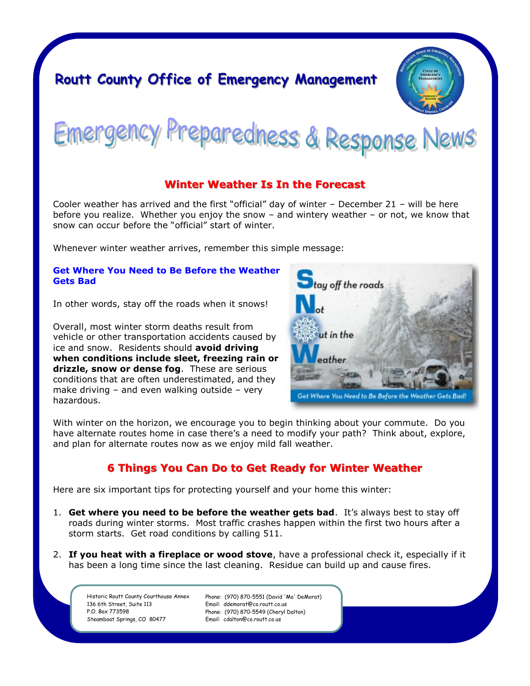# **Routt County Office of Emergency Management**



Preparedness & Response News Emergency

## **Winter Weather Is In the Forecast**

Cooler weather has arrived and the first "official" day of winter – December 21 – will be here before you realize. Whether you enjoy the snow – and wintery weather – or not, we know that snow can occur before the "official" start of winter.

Whenever winter weather arrives, remember this simple message:

#### **Get Where You Need to Be Before the Weather Gets Bad**

In other words, stay off the roads when it snows!

Overall, most winter storm deaths result from vehicle or other transportation accidents caused by ice and snow. Residents should **avoid driving when conditions include sleet, freezing rain or drizzle, snow or dense fog**. These are serious conditions that are often underestimated, and they make driving – and even walking outside – very hazardous.



With winter on the horizon, we encourage you to begin thinking about your commute. Do you have alternate routes home in case there's a need to modify your path? Think about, explore, and plan for alternate routes now as we enjoy mild fall weather.

# **6 Things You Can Do to Get Ready for Winter Weather**

Here are six important tips for protecting yourself and your home this winter:

- 1. **Get where you need to be before the weather gets bad**. It's always best to stay off roads during winter storms. Most traffic crashes happen within the first two hours after a storm starts. Get road conditions by calling 511.
- 2. **If you heat with a fireplace or wood stove**, have a professional check it, especially if it has been a long time since the last cleaning. Residue can build up and cause fires.

Historic Routt County Courthouse Annex 136 6th Street, Suite 113 P.O. Box 773598 Steamboat Springs, CO 80477

Phone: (970) 870-5551 (David 'Mo' DeMorat) Email: ddemorat@co.routt.co.us Phone: (970) 870-5549 (Cheryl Dalton) Email: cdalton@co.routt.co.us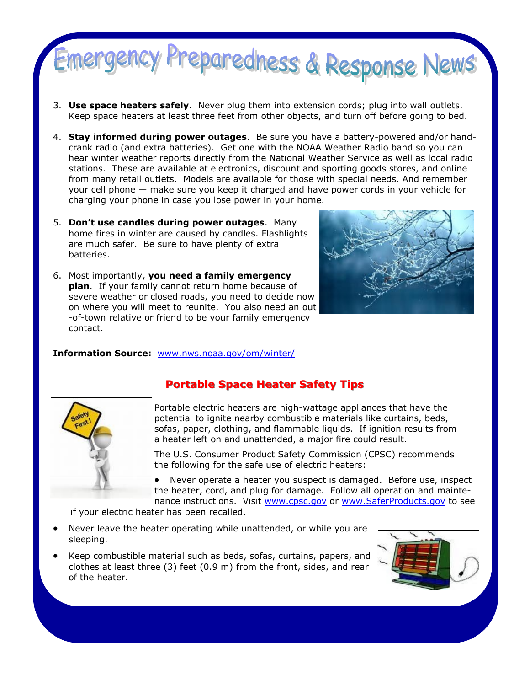

- 3. **Use space heaters safely**. Never plug them into extension cords; plug into wall outlets. Keep space heaters at least three feet from other objects, and turn off before going to bed.
- 4. **Stay informed during power outages**. Be sure you have a battery-powered and/or handcrank radio (and extra batteries). Get one with the NOAA Weather Radio band so you can hear winter weather reports directly from the National Weather Service as well as local radio stations. These are available at electronics, discount and sporting goods stores, and online from many retail outlets. Models are available for those with special needs. And remember your cell phone — make sure you keep it charged and have power cords in your vehicle for charging your phone in case you lose power in your home.
- 5. **Don't use candles during power outages**. Many home fires in winter are caused by candles. Flashlights are much safer. Be sure to have plenty of extra batteries.
- 6. Most importantly, **you need a family emergency plan**. If your family cannot return home because of severe weather or closed roads, you need to decide now on where you will meet to reunite. You also need an out -of-town relative or friend to be your family emergency contact.



#### **Information Source:** [www.nws.noaa.gov/om/winter/](http://www.nws.noaa.gov/om/winter)



# **Portable Space Heater Safety Tips**

Portable electric heaters are high-wattage appliances that have the potential to ignite nearby combustible materials like curtains, beds, sofas, paper, clothing, and flammable liquids. If ignition results from a heater left on and unattended, a major fire could result.

The U.S. Consumer Product Safety Commission (CPSC) recommends the following for the safe use of electric heaters:

 Never operate a heater you suspect is damaged. Before use, inspect the heater, cord, and plug for damage. Follow all operation and maintenance instructions. Visit [www.cpsc.gov](http://www.cpsc.gov) or [www.SaferProducts.gov](http://www.SaferProducts.gov) to see

if your electric heater has been recalled.

- Never leave the heater operating while unattended, or while you are sleeping.
- Keep combustible material such as beds, sofas, curtains, papers, and clothes at least three (3) feet (0.9 m) from the front, sides, and rear of the heater.